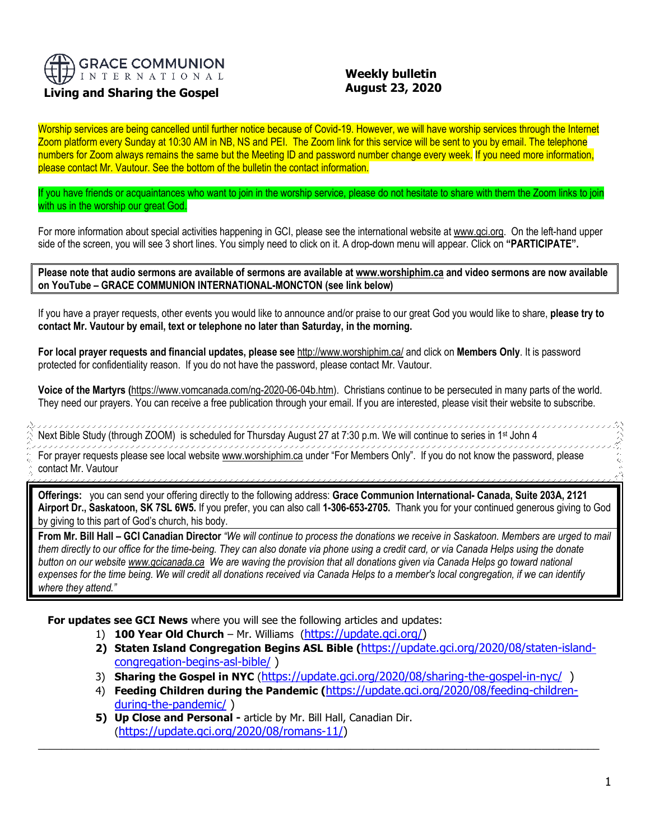

# **Living and Sharing the Gospel**

# **Weekly bulletin August 23, 2020**

Worship services are being cancelled until further notice because of Covid-19. However, we will have worship services through the Internet Zoom platform every Sunday at 10:30 AM in NB, NS and PEI. The Zoom link for this service will be sent to you by email. The telephone numbers for Zoom always remains the same but the Meeting ID and password number change every week. If you need more information, please contact Mr. Vautour. See the bottom of the bulletin the contact information.

If you have friends or acquaintances who want to join in the worship service, please do not hesitate to share with them the Zoom links to join with us in the worship our great God.

For more information about special activities happening in GCI, please see the international website a[t www.gci.org.](http://www.gci.org/) On the left-hand upper side of the screen, you will see 3 short lines. You simply need to click on it. A drop-down menu will appear. Click on **"PARTICIPATE".** 

**Please note that audio sermons are available of sermons are available at [www.worshiphim.ca](http://www.worshiphim.ca/) and video sermons are now available on YouTube – GRACE COMMUNION INTERNATIONAL-MONCTON (see link below)**

If you have a prayer requests, other events you would like to announce and/or praise to our great God you would like to share, **please try to contact Mr. Vautour by email, text or telephone no later than Saturday, in the morning.**

**For local prayer requests and financial updates, please see** <http://www.worshiphim.ca/> and click on **Members Only**. It is password protected for confidentiality reason. If you do not have the password, please contact Mr. Vautour.

**Voice of the Martyrs (**[https://www.vomcanada.com/ng-2020-06-04b.htm\)](https://www.vomcanada.com/ng-2020-06-04b.htm). Christians continue to be persecuted in many parts of the world. They need our prayers. You can receive a free publication through your email. If you are interested, please visit their website to subscribe.

,,,,,,,,,,,,,,, 11111 Next Bible Study (through ZOOM) is scheduled for Thursday August 27 at 7:30 p.m. We will continue to series in 1st John 4 

For prayer requests please see local website [www.worshiphim.ca](http://www.worshiphim.ca/) under "For Members Only". If you do not know the password, please contact Mr. Vautour

**Offerings:** you can send your offering directly to the following address: **Grace Communion International- Canada, Suite 203A, 2121 Airport Dr., Saskatoon, SK 7SL 6W5.** If you prefer, you can also call **1-306-653-2705.** Thank you for your continued generous giving to God by giving to this part of God's church, his body.

**From Mr. Bill Hall – GCI Canadian Director** *"We will continue to process the donations we receive in Saskatoon. Members are urged to mail them directly to our office for the time-being. They can also donate via phone using a credit card, or via Canada Helps using the donate button on our websit[e www.gcicanada.ca](https://eur03.safelinks.protection.outlook.com/?url=http%3A%2F%2Fwww.gcicanada.ca%2F&data=02%7C01%7C%7C9fd93e29c2b44509e5a008d7caa78fdb%7C84df9e7fe9f640afb435aaaaaaaaaaaa%7C1%7C0%7C637200693331983394&sdata=VAGy4Q%2BxbhHuYaeEiDz%2FQyicT%2FoiY4Ir9kc8w5yHRPs%3D&reserved=0) We are waving the provision that all donations given via Canada Helps go toward national expenses for the time being. We will credit all donations received via Canada Helps to a member's local congregation, if we can identify where they attend."*

**For updates see GCI News** where you will see the following articles and updates:

- 1) **100 Year Old Church** Mr. Williams ([https://update.gci.org/\)](https://update.gci.org/)
- **2) Staten Island Congregation Begins ASL Bible (**[https://update.gci.org/2020/08/staten-island](https://update.gci.org/2020/08/staten-island-congregation-begins-asl-bible/)[congregation-begins-asl-bible/](https://update.gci.org/2020/08/staten-island-congregation-begins-asl-bible/) )
- 3) **Sharing the Gospel in NYC** (<https://update.gci.org/2020/08/sharing-the-gospel-in-nyc/>)
- 4) **Feeding Children during the Pandemic (**[https://update.gci.org/2020/08/feeding-children](https://update.gci.org/2020/08/feeding-children-during-the-pandemic/)[during-the-pandemic/](https://update.gci.org/2020/08/feeding-children-during-the-pandemic/) )

 $\_$  ,  $\_$  ,  $\_$  ,  $\_$  ,  $\_$  ,  $\_$  ,  $\_$  ,  $\_$  ,  $\_$  ,  $\_$  ,  $\_$  ,  $\_$  ,  $\_$  ,  $\_$  ,  $\_$  ,  $\_$  ,  $\_$  ,  $\_$  ,  $\_$  ,  $\_$  ,  $\_$  ,  $\_$  ,  $\_$  ,  $\_$  ,  $\_$  ,  $\_$  ,  $\_$  ,  $\_$  ,  $\_$  ,  $\_$  ,  $\_$  ,  $\_$  ,  $\_$  ,  $\_$  ,  $\_$  ,  $\_$  ,  $\_$  ,

**5) Up Close and Personal -** article by Mr. Bill Hall, Canadian Dir. ([https://update.gci.org/2020/08/romans-11/\)](https://update.gci.org/2020/08/romans-11/)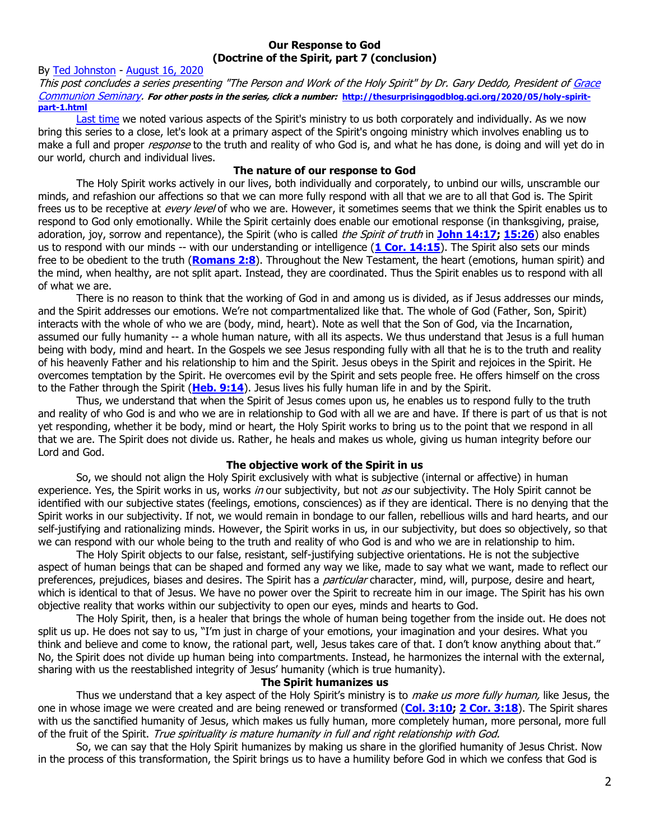#### **Our Response to God (Doctrine of the Spirit, part 7 (conclusion)**

## By [Ted Johnston](https://www.blogger.com/profile/08677739021765621811) - [August 16, 2020](http://thesurprisinggodblog.gci.org/2020/08/spirit-part-7.html)

This post concludes a series presenting "The Person and Work of the Holy Spirit" by Dr. Gary Deddo, President of Grace [Communion Seminary.](https://www.gcs.edu/) **For other posts in the series, click a number: [http://thesurprisinggodblog.gci.org/2020/05/holy-spirit](http://thesurprisinggodblog.gci.org/2020/05/holy-spirit-part-1.html)[part-1.html](http://thesurprisinggodblog.gci.org/2020/05/holy-spirit-part-1.html)**

[Last time](http://thesurprisinggodblog.gci.org/2020/08/holy-spirit-part-6.html) we noted various aspects of the Spirit's ministry to us both corporately and individually. As we now bring this series to a close, let's look at a primary aspect of the Spirit's ongoing ministry which involves enabling us to make a full and proper *response* to the truth and reality of who God is, and what he has done, is doing and will yet do in our world, church and individual lives.

## **The nature of our response to God**

The Holy Spirit works actively in our lives, both individually and corporately, to unbind our wills, unscramble our minds, and refashion our affections so that we can more fully respond with all that we are to all that God is. The Spirit frees us to be receptive at *every level* of who we are. However, it sometimes seems that we think the Spirit enables us to respond to God only emotionally. While the Spirit certainly does enable our emotional response (in thanksgiving, praise, adoration, joy, sorrow and repentance), the Spirit (who is called the Spirit of truth in **[John 14:17;](https://biblia.com/bible/niv/John%2014.17) [15:26](https://biblia.com/bible/niv/John%2015.26)**) also enables us to respond with our minds -- with our understanding or intelligence (**[1 Cor. 14:15](https://biblia.com/bible/niv/1%20Cor.%2014.15)**). The Spirit also sets our minds free to be obedient to the truth (**[Romans 2:8](https://biblia.com/bible/niv/Rom%202.8)**). Throughout the New Testament, the heart (emotions, human spirit) and the mind, when healthy, are not split apart. Instead, they are coordinated. Thus the Spirit enables us to respond with all of what we are.

There is no reason to think that the working of God in and among us is divided, as if Jesus addresses our minds, and the Spirit addresses our emotions. We're not compartmentalized like that. The whole of God (Father, Son, Spirit) interacts with the whole of who we are (body, mind, heart). Note as well that the Son of God, via the Incarnation, assumed our fully humanity -- a whole human nature, with all its aspects. We thus understand that Jesus is a full human being with body, mind and heart. In the Gospels we see Jesus responding fully with all that he is to the truth and reality of his heavenly Father and his relationship to him and the Spirit. Jesus obeys in the Spirit and rejoices in the Spirit. He overcomes temptation by the Spirit. He overcomes evil by the Spirit and sets people free. He offers himself on the cross to the Father through the Spirit (**[Heb. 9:14](https://biblia.com/bible/niv/Heb.%209.14)**). Jesus lives his fully human life in and by the Spirit.

Thus, we understand that when the Spirit of Jesus comes upon us, he enables us to respond fully to the truth and reality of who God is and who we are in relationship to God with all we are and have. If there is part of us that is not yet responding, whether it be body, mind or heart, the Holy Spirit works to bring us to the point that we respond in all that we are. The Spirit does not divide us. Rather, he heals and makes us whole, giving us human integrity before our Lord and God.

# **The objective work of the Spirit in us**

So, we should not align the Holy Spirit exclusively with what is subjective (internal or affective) in human experience. Yes, the Spirit works in us, works in our subjectivity, but not as our subjectivity. The Holy Spirit cannot be identified with our subjective states (feelings, emotions, consciences) as if they are identical. There is no denying that the Spirit works in our subjectivity. If not, we would remain in bondage to our fallen, rebellious wills and hard hearts, and our self-justifying and rationalizing minds. However, the Spirit works in us, in our subjectivity, but does so objectively, so that we can respond with our whole being to the truth and reality of who God is and who we are in relationship to him.

The Holy Spirit objects to our false, resistant, self-justifying subjective orientations. He is not the subjective aspect of human beings that can be shaped and formed any way we like, made to say what we want, made to reflect our preferences, prejudices, biases and desires. The Spirit has a *particular* character, mind, will, purpose, desire and heart, which is identical to that of Jesus. We have no power over the Spirit to recreate him in our image. The Spirit has his own objective reality that works within our subjectivity to open our eyes, minds and hearts to God.

The Holy Spirit, then, is a healer that brings the whole of human being together from the inside out. He does not split us up. He does not say to us, "I'm just in charge of your emotions, your imagination and your desires. What you think and believe and come to know, the rational part, well, Jesus takes care of that. I don't know anything about that." No, the Spirit does not divide up human being into compartments. Instead, he harmonizes the internal with the external, sharing with us the reestablished integrity of Jesus' humanity (which is true humanity).

## **The Spirit humanizes us**

Thus we understand that a key aspect of the Holy Spirit's ministry is to *make us more fully human*, like Jesus, the one in whose image we were created and are being renewed or transformed (**[Col. 3:10;](https://biblia.com/bible/niv/Col.%203.10) [2 Cor. 3:18](https://biblia.com/bible/niv/2%20Cor.%203.18)**). The Spirit shares with us the sanctified humanity of Jesus, which makes us fully human, more completely human, more personal, more full of the fruit of the Spirit. True spirituality is mature humanity in full and right relationship with God.

So, we can say that the Holy Spirit humanizes by making us share in the glorified humanity of Jesus Christ. Now in the process of this transformation, the Spirit brings us to have a humility before God in which we confess that God is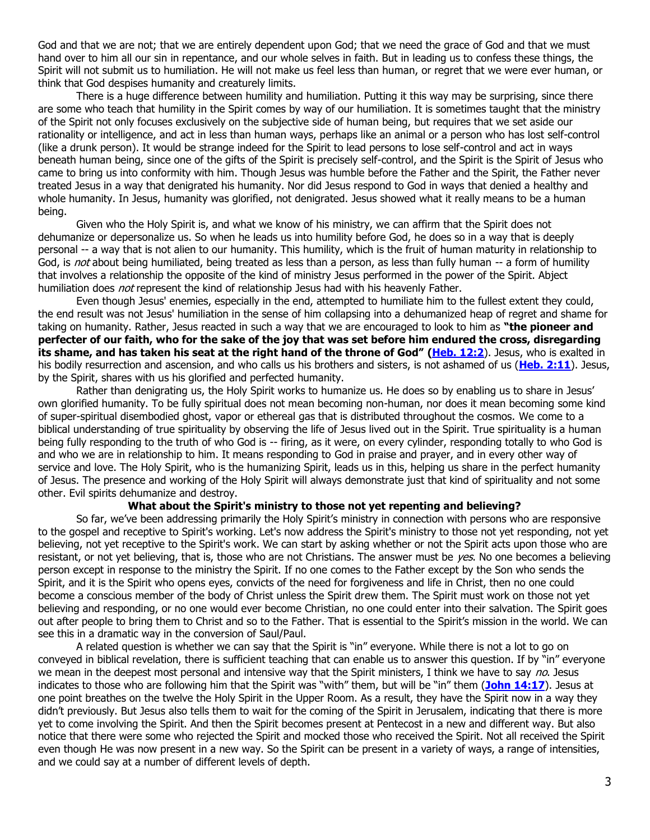God and that we are not; that we are entirely dependent upon God; that we need the grace of God and that we must hand over to him all our sin in repentance, and our whole selves in faith. But in leading us to confess these things, the Spirit will not submit us to humiliation. He will not make us feel less than human, or regret that we were ever human, or think that God despises humanity and creaturely limits.

There is a huge difference between humility and humiliation. Putting it this way may be surprising, since there are some who teach that humility in the Spirit comes by way of our humiliation. It is sometimes taught that the ministry of the Spirit not only focuses exclusively on the subjective side of human being, but requires that we set aside our rationality or intelligence, and act in less than human ways, perhaps like an animal or a person who has lost self-control (like a drunk person). It would be strange indeed for the Spirit to lead persons to lose self-control and act in ways beneath human being, since one of the gifts of the Spirit is precisely self-control, and the Spirit is the Spirit of Jesus who came to bring us into conformity with him. Though Jesus was humble before the Father and the Spirit, the Father never treated Jesus in a way that denigrated his humanity. Nor did Jesus respond to God in ways that denied a healthy and whole humanity. In Jesus, humanity was glorified, not denigrated. Jesus showed what it really means to be a human being.

Given who the Holy Spirit is, and what we know of his ministry, we can affirm that the Spirit does not dehumanize or depersonalize us. So when he leads us into humility before God, he does so in a way that is deeply personal -- a way that is not alien to our humanity. This humility, which is the fruit of human maturity in relationship to God, is not about being humiliated, being treated as less than a person, as less than fully human -- a form of humility that involves a relationship the opposite of the kind of ministry Jesus performed in the power of the Spirit. Abject humiliation does *not* represent the kind of relationship Jesus had with his heavenly Father.

Even though Jesus' enemies, especially in the end, attempted to humiliate him to the fullest extent they could, the end result was not Jesus' humiliation in the sense of him collapsing into a dehumanized heap of regret and shame for taking on humanity. Rather, Jesus reacted in such a way that we are encouraged to look to him as **"the pioneer and perfecter of our faith, who for the sake of the joy that was set before him endured the cross, disregarding its shame, and has taken his seat at the right hand of the throne of God" [\(Heb. 12:2](https://biblia.com/bible/niv/Heb.%2012.2)**). Jesus, who is exalted in his bodily resurrection and ascension, and who calls us his brothers and sisters, is not ashamed of us (**[Heb. 2:11](https://biblia.com/bible/niv/Heb.%202.11)**). Jesus, by the Spirit, shares with us his glorified and perfected humanity.

Rather than denigrating us, the Holy Spirit works to humanize us. He does so by enabling us to share in Jesus' own glorified humanity. To be fully spiritual does not mean becoming non-human, nor does it mean becoming some kind of super-spiritual disembodied ghost, vapor or ethereal gas that is distributed throughout the cosmos. We come to a biblical understanding of true spirituality by observing the life of Jesus lived out in the Spirit. True spirituality is a human being fully responding to the truth of who God is -- firing, as it were, on every cylinder, responding totally to who God is and who we are in relationship to him. It means responding to God in praise and prayer, and in every other way of service and love. The Holy Spirit, who is the humanizing Spirit, leads us in this, helping us share in the perfect humanity of Jesus. The presence and working of the Holy Spirit will always demonstrate just that kind of spirituality and not some other. Evil spirits dehumanize and destroy.

### **What about the Spirit's ministry to those not yet repenting and believing?**

So far, we've been addressing primarily the Holy Spirit's ministry in connection with persons who are responsive to the gospel and receptive to Spirit's working. Let's now address the Spirit's ministry to those not yet responding, not yet believing, not yet receptive to the Spirit's work. We can start by asking whether or not the Spirit acts upon those who are resistant, or not yet believing, that is, those who are not Christians. The answer must be  $yes$ . No one becomes a believing person except in response to the ministry the Spirit. If no one comes to the Father except by the Son who sends the Spirit, and it is the Spirit who opens eyes, convicts of the need for forgiveness and life in Christ, then no one could become a conscious member of the body of Christ unless the Spirit drew them. The Spirit must work on those not yet believing and responding, or no one would ever become Christian, no one could enter into their salvation. The Spirit goes out after people to bring them to Christ and so to the Father. That is essential to the Spirit's mission in the world. We can see this in a dramatic way in the conversion of Saul/Paul.

A related question is whether we can say that the Spirit is "in" everyone. While there is not a lot to go on conveyed in biblical revelation, there is sufficient teaching that can enable us to answer this question. If by "in" everyone we mean in the deepest most personal and intensive way that the Spirit ministers, I think we have to say no. Jesus indicates to those who are following him that the Spirit was "with" them, but will be "in" them (**[John 14:17](https://biblia.com/bible/niv/John%2014.17)**). Jesus at one point breathes on the twelve the Holy Spirit in the Upper Room. As a result, they have the Spirit now in a way they didn't previously. But Jesus also tells them to wait for the coming of the Spirit in Jerusalem, indicating that there is more yet to come involving the Spirit. And then the Spirit becomes present at Pentecost in a new and different way. But also notice that there were some who rejected the Spirit and mocked those who received the Spirit. Not all received the Spirit even though He was now present in a new way. So the Spirit can be present in a variety of ways, a range of intensities, and we could say at a number of different levels of depth.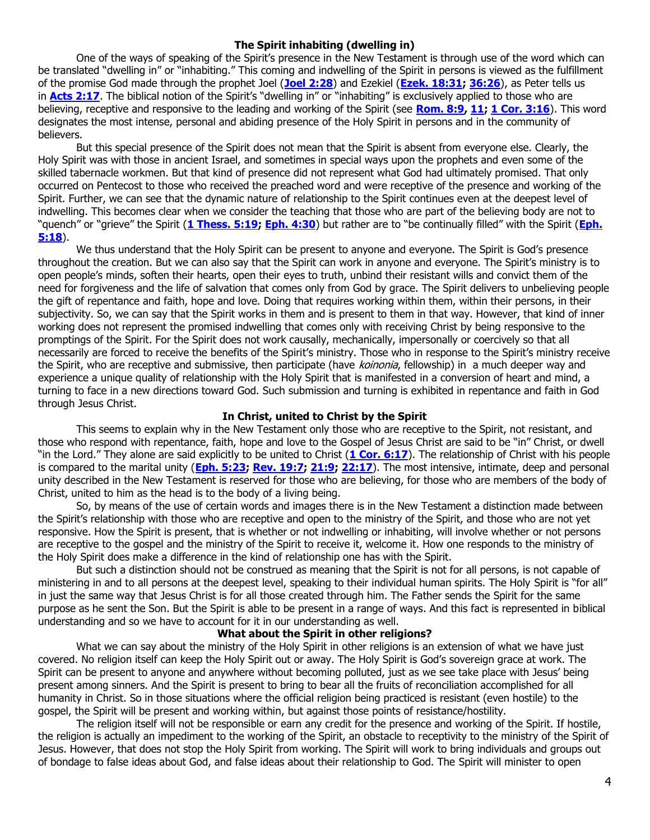#### **The Spirit inhabiting (dwelling in)**

One of the ways of speaking of the Spirit's presence in the New Testament is through use of the word which can be translated "dwelling in" or "inhabiting." This coming and indwelling of the Spirit in persons is viewed as the fulfillment of the promise God made through the prophet Joel (**[Joel 2:28](https://biblia.com/bible/niv/Joel%202.28)**) and Ezekiel (**[Ezek. 18:31;](https://biblia.com/bible/niv/Ezek.%2018.31) [36:26](https://biblia.com/bible/niv/Ezek%2036.26)**), as Peter tells us in **[Acts 2:17](https://biblia.com/bible/niv/Acts%202.17)**. The biblical notion of the Spirit's "dwelling in" or "inhabiting" is exclusively applied to those who are believing, receptive and responsive to the leading and working of the Spirit (see **[Rom. 8:9,](https://biblia.com/bible/niv/Rom.%208.9) [11;](https://biblia.com/bible/niv/Rom%208.11) [1 Cor. 3:16](https://biblia.com/bible/niv/1%20Cor.%203.16)**). This word designates the most intense, personal and abiding presence of the Holy Spirit in persons and in the community of believers.

But this special presence of the Spirit does not mean that the Spirit is absent from everyone else. Clearly, the Holy Spirit was with those in ancient Israel, and sometimes in special ways upon the prophets and even some of the skilled tabernacle workmen. But that kind of presence did not represent what God had ultimately promised. That only occurred on Pentecost to those who received the preached word and were receptive of the presence and working of the Spirit. Further, we can see that the dynamic nature of relationship to the Spirit continues even at the deepest level of indwelling. This becomes clear when we consider the teaching that those who are part of the believing body are not to "quench" or "grieve" the Spirit (**[1 Thess. 5:19;](https://biblia.com/bible/niv/1%20Thess.%205.19) [Eph. 4:30](https://biblia.com/bible/niv/Eph.%204.30)**) but rather are to "be continually filled" with the Spirit (**[Eph.](https://biblia.com/bible/niv/Eph.%205.18)  [5:18](https://biblia.com/bible/niv/Eph.%205.18)**).

We thus understand that the Holy Spirit can be present to anyone and everyone. The Spirit is God's presence throughout the creation. But we can also say that the Spirit can work in anyone and everyone. The Spirit's ministry is to open people's minds, soften their hearts, open their eyes to truth, unbind their resistant wills and convict them of the need for forgiveness and the life of salvation that comes only from God by grace. The Spirit delivers to unbelieving people the gift of repentance and faith, hope and love. Doing that requires working within them, within their persons, in their subjectivity. So, we can say that the Spirit works in them and is present to them in that way. However, that kind of inner working does not represent the promised indwelling that comes only with receiving Christ by being responsive to the promptings of the Spirit. For the Spirit does not work causally, mechanically, impersonally or coercively so that all necessarily are forced to receive the benefits of the Spirit's ministry. Those who in response to the Spirit's ministry receive the Spirit, who are receptive and submissive, then participate (have koinonia, fellowship) in a much deeper way and experience a unique quality of relationship with the Holy Spirit that is manifested in a conversion of heart and mind, a turning to face in a new directions toward God. Such submission and turning is exhibited in repentance and faith in God through Jesus Christ.

# **In Christ, united to Christ by the Spirit**

This seems to explain why in the New Testament only those who are receptive to the Spirit, not resistant, and those who respond with repentance, faith, hope and love to the Gospel of Jesus Christ are said to be "in" Christ, or dwell "in the Lord." They alone are said explicitly to be united to Christ (**[1 Cor. 6:17](https://biblia.com/bible/niv/1%20Cor.%206.17)**). The relationship of Christ with his people is compared to the marital unity (**[Eph. 5:23;](https://biblia.com/bible/niv/Eph.%205.23) [Rev. 19:7;](https://biblia.com/bible/niv/Rev.%2019.7) [21:9;](https://biblia.com/bible/niv/Rev%2021.9) [22:17](https://biblia.com/bible/niv/Rev%2022.17)**). The most intensive, intimate, deep and personal unity described in the New Testament is reserved for those who are believing, for those who are members of the body of Christ, united to him as the head is to the body of a living being.

So, by means of the use of certain words and images there is in the New Testament a distinction made between the Spirit's relationship with those who are receptive and open to the ministry of the Spirit, and those who are not yet responsive. How the Spirit is present, that is whether or not indwelling or inhabiting, will involve whether or not persons are receptive to the gospel and the ministry of the Spirit to receive it, welcome it. How one responds to the ministry of the Holy Spirit does make a difference in the kind of relationship one has with the Spirit.

But such a distinction should not be construed as meaning that the Spirit is not for all persons, is not capable of ministering in and to all persons at the deepest level, speaking to their individual human spirits. The Holy Spirit is "for all" in just the same way that Jesus Christ is for all those created through him. The Father sends the Spirit for the same purpose as he sent the Son. But the Spirit is able to be present in a range of ways. And this fact is represented in biblical understanding and so we have to account for it in our understanding as well.

#### **What about the Spirit in other religions?**

What we can say about the ministry of the Holy Spirit in other religions is an extension of what we have just covered. No religion itself can keep the Holy Spirit out or away. The Holy Spirit is God's sovereign grace at work. The Spirit can be present to anyone and anywhere without becoming polluted, just as we see take place with Jesus' being present among sinners. And the Spirit is present to bring to bear all the fruits of reconciliation accomplished for all humanity in Christ. So in those situations where the official religion being practiced is resistant (even hostile) to the gospel, the Spirit will be present and working within, but against those points of resistance/hostility.

The religion itself will not be responsible or earn any credit for the presence and working of the Spirit. If hostile, the religion is actually an impediment to the working of the Spirit, an obstacle to receptivity to the ministry of the Spirit of Jesus. However, that does not stop the Holy Spirit from working. The Spirit will work to bring individuals and groups out of bondage to false ideas about God, and false ideas about their relationship to God. The Spirit will minister to open